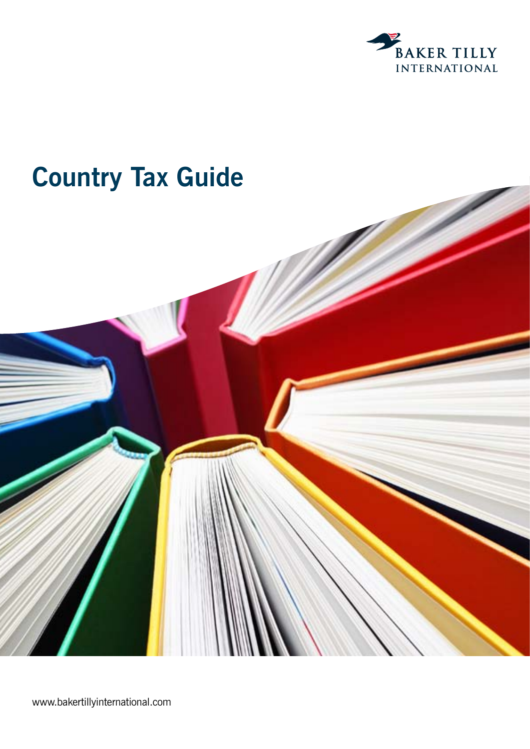

# **Country Tax Guide**

www.bakertillyinternational.com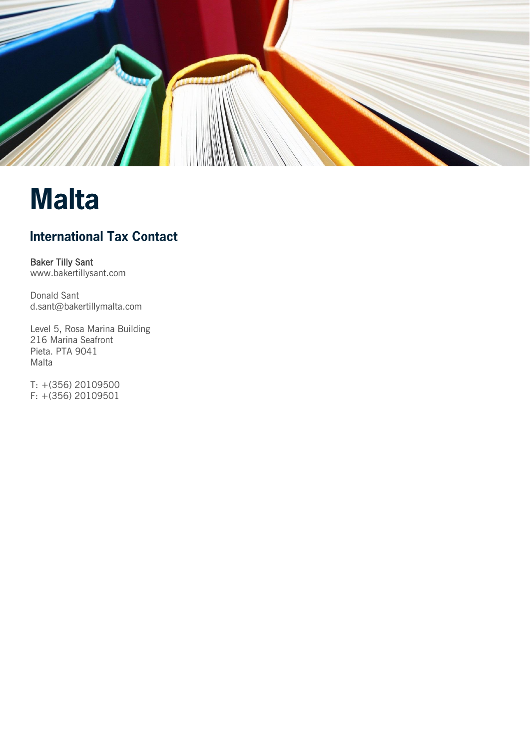

# **Malta**

# **International Tax Contact**

Baker Tilly Sant www.bakertillysant.com

Donald Sant d.sant@bakertillymalta.com

Level 5, Rosa Marina Building 216 Marina Seafront Pieta. PTA 9041 Malta

T: +(356) 20109500 F: +(356) 20109501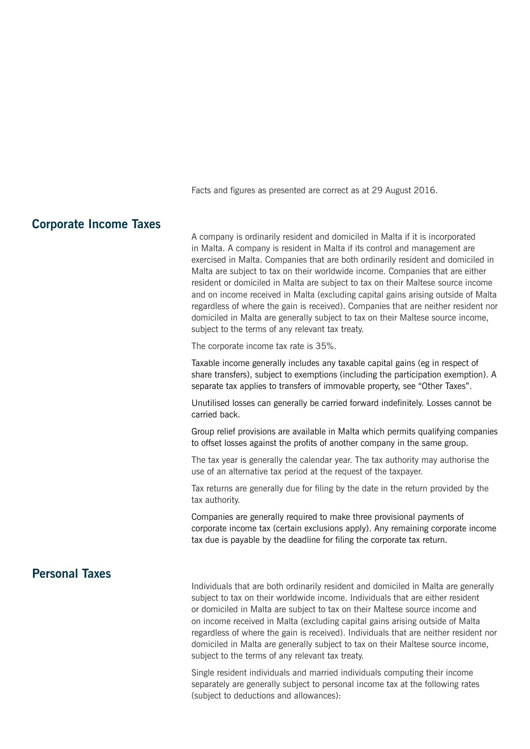Facts and figures as presented are correct as at 29 August 2016.

#### **Corporate Income Taxes**

A company is ordinarily resident and domiciled in Malta if it is incorporated in Malta. A company is resident in Malta if its control and management are exercised in Malta. Companies that are both ordinarily resident and domiciled in Malta are subject to tax on their worldwide income. Companies that are either resident or domiciled in Malta are subject to tax on their Maltese source income and on income received in Malta (excluding capital gains arising outside of Malta regardless of where the gain is received). Companies that are neither resident nor domiciled in Malta are generally subject to tax on their Maltese source income, subject to the terms of any relevant tax treaty.

The corporate income tax rate is 35%.

Taxable income generally includes any taxable capital gains (eg in respect of share transfers), subject to exemptions (including the participation exemption). A separate tax applies to transfers of immovable property, see "Other Taxes".

Unutilised losses can generally be carried forward indefinitely. Losses cannot be carried back.

Group relief provisions are available in Malta which permits qualifying companies to offset losses against the profits of another company in the same group.

The tax year is generally the calendar year. The tax authority may authorise the use of an alternative tax period at the request of the taxpayer.

Tax returns are generally due for filing by the date in the return provided by the tax authority.

Companies are generally required to make three provisional payments of corporate income tax (certain exclusions apply). Any remaining corporate income tax due is payable by the deadline for filing the corporate tax return.

## **Personal Taxes**

Individuals that are both ordinarily resident and domiciled in Malta are generally subject to tax on their worldwide income. Individuals that are either resident or domiciled in Malta are subject to tax on their Maltese source income and on income received in Malta (excluding capital gains arising outside of Malta regardless of where the gain is received). Individuals that are neither resident nor domiciled in Malta are generally subject to tax on their Maltese source income, subject to the terms of any relevant tax treaty.

Single resident individuals and married individuals computing their income separately are generally subject to personal income tax at the following rates (subject to deductions and allowances):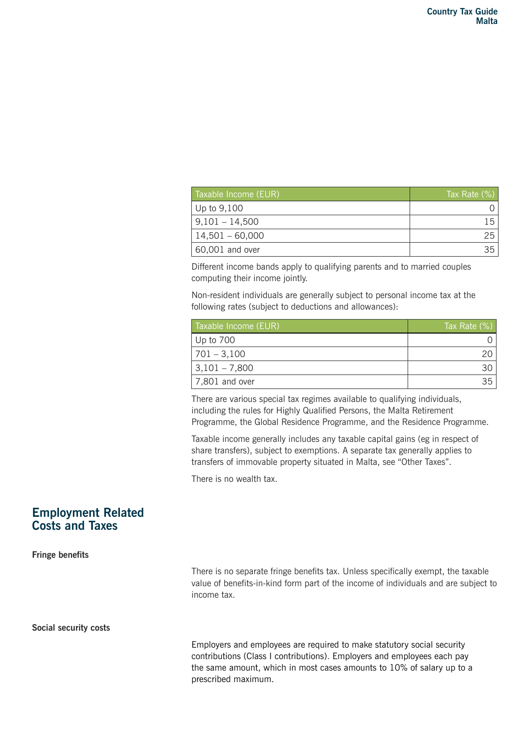| Taxable Income (EUR) | Tax Rate (%) |
|----------------------|--------------|
| Up to $9,100$        |              |
| $9,101 - 14,500$     |              |
| $14,501 - 60,000$    | 25           |
| 60,001 and over      |              |

Different income bands apply to qualifying parents and to married couples computing their income jointly.

Non-resident individuals are generally subject to personal income tax at the following rates (subject to deductions and allowances):

| Taxable Income (EUR) | Tax Rate $(\%)$ |
|----------------------|-----------------|
| Up to 700            |                 |
| $ 701 - 3,100$       |                 |
| $ 3,101 - 7,800 $    |                 |
| $ 7,801$ and over    | 35              |

There are various special tax regimes available to qualifying individuals, including the rules for Highly Qualified Persons, the Malta Retirement Programme, the Global Residence Programme, and the Residence Programme.

Taxable income generally includes any taxable capital gains (eg in respect of share transfers), subject to exemptions. A separate tax generally applies to transfers of immovable property situated in Malta, see "Other Taxes".

There is no wealth tax.

### **Employment Related Costs and Taxes**

**Fringe benefits**

There is no separate fringe benefits tax. Unless specifically exempt, the taxable value of benefits-in-kind form part of the income of individuals and are subject to income tax.

**Social security costs**

Employers and employees are required to make statutory social security contributions (Class I contributions). Employers and employees each pay the same amount, which in most cases amounts to 10% of salary up to a prescribed maximum.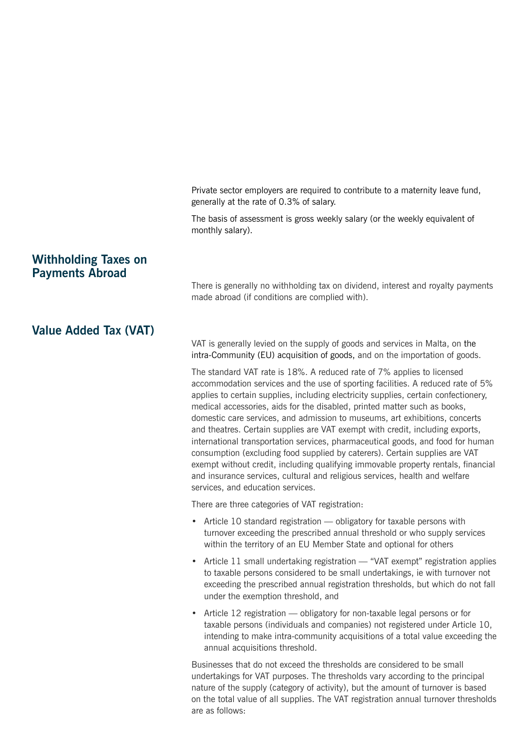Private sector employers are required to contribute to a maternity leave fund, generally at the rate of 0.3% of salary.

The basis of assessment is gross weekly salary (or the weekly equivalent of monthly salary).

#### **Withholding Taxes on Payments Abroad**

There is generally no withholding tax on dividend, interest and royalty payments made abroad (if conditions are complied with).

#### **Value Added Tax (VAT)**

VAT is generally levied on the supply of goods and services in Malta, on the intra-Community (EU) acquisition of goods, and on the importation of goods.

The standard VAT rate is 18%. A reduced rate of 7% applies to licensed accommodation services and the use of sporting facilities. A reduced rate of 5% applies to certain supplies, including electricity supplies, certain confectionery, medical accessories, aids for the disabled, printed matter such as books, domestic care services, and admission to museums, art exhibitions, concerts and theatres. Certain supplies are VAT exempt with credit, including exports, international transportation services, pharmaceutical goods, and food for human consumption (excluding food supplied by caterers). Certain supplies are VAT exempt without credit, including qualifying immovable property rentals, financial and insurance services, cultural and religious services, health and welfare services, and education services.

There are three categories of VAT registration:

- Article 10 standard registration obligatory for taxable persons with turnover exceeding the prescribed annual threshold or who supply services within the territory of an EU Member State and optional for others
- Article 11 small undertaking registration "VAT exempt" registration applies to taxable persons considered to be small undertakings, ie with turnover not exceeding the prescribed annual registration thresholds, but which do not fall under the exemption threshold, and
- Article 12 registration obligatory for non-taxable legal persons or for taxable persons (individuals and companies) not registered under Article 10, intending to make intra-community acquisitions of a total value exceeding the annual acquisitions threshold.

Businesses that do not exceed the thresholds are considered to be small undertakings for VAT purposes. The thresholds vary according to the principal nature of the supply (category of activity), but the amount of turnover is based on the total value of all supplies. The VAT registration annual turnover thresholds are as follows: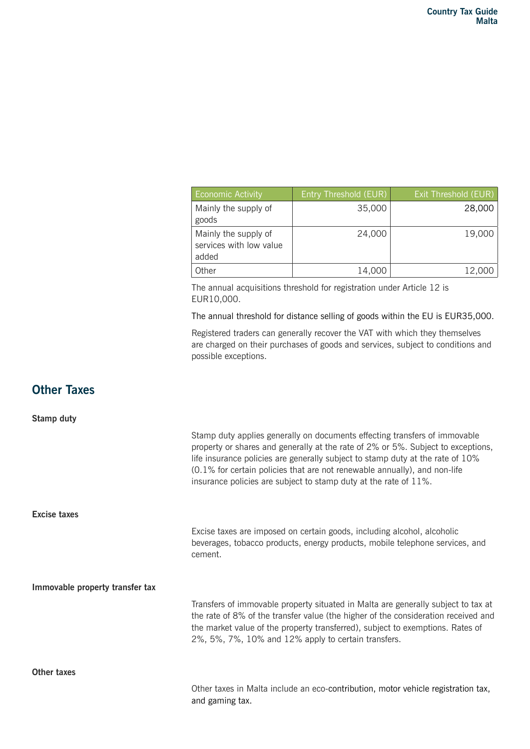| <b>Economic Activity</b>                                 | Entry Threshold (EUR) | <b>Exit Threshold (EUR)</b> |
|----------------------------------------------------------|-----------------------|-----------------------------|
| Mainly the supply of<br>goods                            | 35,000                | 28,000                      |
| Mainly the supply of<br>services with low value<br>added | 24,000                | 19,000                      |
| Other                                                    | 14,000                | 12,000                      |

The annual acquisitions threshold for registration under Article 12 is EUR10,000.

The annual threshold for distance selling of goods within the EU is EUR35,000.

Registered traders can generally recover the VAT with which they themselves are charged on their purchases of goods and services, subject to conditions and possible exceptions.

## **Other Taxes**

| <b>Stamp duty</b>               |                                                                                                                                                                                                                                                                                                                                                                                                   |
|---------------------------------|---------------------------------------------------------------------------------------------------------------------------------------------------------------------------------------------------------------------------------------------------------------------------------------------------------------------------------------------------------------------------------------------------|
|                                 | Stamp duty applies generally on documents effecting transfers of immovable<br>property or shares and generally at the rate of 2% or 5%. Subject to exceptions,<br>life insurance policies are generally subject to stamp duty at the rate of 10%<br>(0.1% for certain policies that are not renewable annually), and non-life<br>insurance policies are subject to stamp duty at the rate of 11%. |
| Excise taxes                    |                                                                                                                                                                                                                                                                                                                                                                                                   |
|                                 | Excise taxes are imposed on certain goods, including alcohol, alcoholic<br>beverages, tobacco products, energy products, mobile telephone services, and<br>cement.                                                                                                                                                                                                                                |
| Immovable property transfer tax |                                                                                                                                                                                                                                                                                                                                                                                                   |
|                                 | Transfers of immovable property situated in Malta are generally subject to tax at<br>the rate of 8% of the transfer value (the higher of the consideration received and<br>the market value of the property transferred), subject to exemptions. Rates of<br>2%, 5%, 7%, 10% and 12% apply to certain transfers.                                                                                  |
| <b>Other taxes</b>              |                                                                                                                                                                                                                                                                                                                                                                                                   |
|                                 | Other taxes in Malta include an eco-contribution, motor vehicle registration tax,<br>and gaming tax.                                                                                                                                                                                                                                                                                              |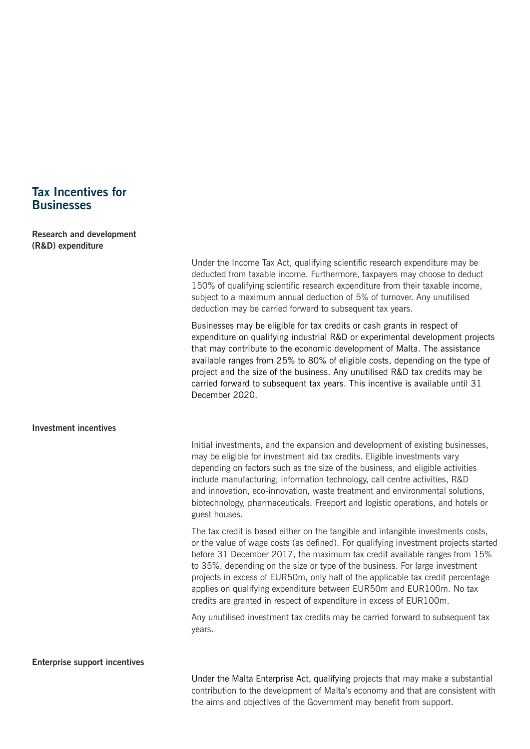### **Tax Incentives for Businesses**

**Research and development (R&D) expenditure**

> Under the Income Tax Act, qualifying scientific research expenditure may be deducted from taxable income. Furthermore, taxpayers may choose to deduct 150% of qualifying scientific research expenditure from their taxable income, subject to a maximum annual deduction of 5% of turnover. Any unutilised deduction may be carried forward to subsequent tax years.

Businesses may be eligible for tax credits or cash grants in respect of expenditure on qualifying industrial R&D or experimental development projects that may contribute to the economic development of Malta. The assistance available ranges from 25% to 80% of eligible costs, depending on the type of project and the size of the business. Any unutilised R&D tax credits may be carried forward to subsequent tax years. This incentive is available until 31 December 2020.

#### **Investment incentives**

Initial investments, and the expansion and development of existing businesses, may be eligible for investment aid tax credits. Eligible investments vary depending on factors such as the size of the business, and eligible activities include manufacturing, information technology, call centre activities, R&D and innovation, eco-innovation, waste treatment and environmental solutions, biotechnology, pharmaceuticals, Freeport and logistic operations, and hotels or guest houses.

The tax credit is based either on the tangible and intangible investments costs, or the value of wage costs (as defined). For qualifying investment projects started before 31 December 2017, the maximum tax credit available ranges from 15% to 35%, depending on the size or type of the business. For large investment projects in excess of EUR50m, only half of the applicable tax credit percentage applies on qualifying expenditure between EUR50m and EUR100m. No tax credits are granted in respect of expenditure in excess of EUR100m.

Any unutilised investment tax credits may be carried forward to subsequent tax years.

#### **Enterprise support incentives**

Under the Malta Enterprise Act, qualifying projects that may make a substantial contribution to the development of Malta's economy and that are consistent with the aims and objectives of the Government may benefit from support.